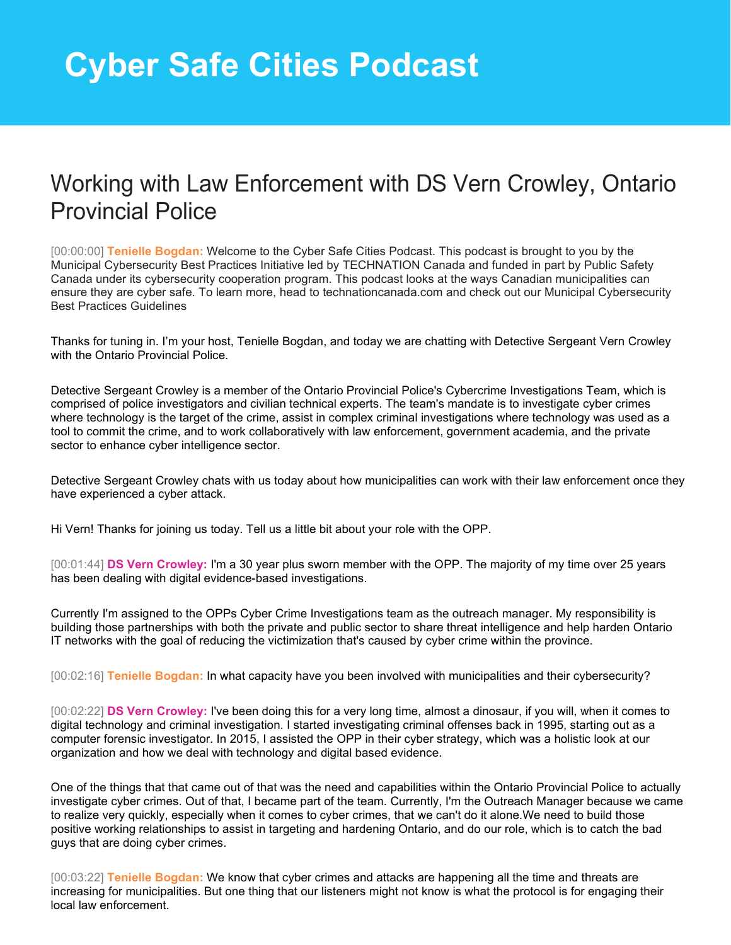## Working with Law Enforcement with DS Vern Crowley, Ontario Provincial Police

[00:00:00] **Tenielle Bogdan:** Welcome to the Cyber Safe Cities Podcast. This podcast is brought to you by the Municipal Cybersecurity Best Practices Initiative led by TECHNATION Canada and funded in part by Public Safety Canada under its cybersecurity cooperation program. This podcast looks at the ways Canadian municipalities can ensure they are cyber safe. To learn more, head to technationcanada.com and check out our Municipal Cybersecurity Best Practices Guidelines

Thanks for tuning in. I'm your host, Tenielle Bogdan, and today we are chatting with Detective Sergeant Vern Crowley with the Ontario Provincial Police.

Detective Sergeant Crowley is a member of the Ontario Provincial Police's Cybercrime Investigations Team, which is comprised of police investigators and civilian technical experts. The team's mandate is to investigate cyber crimes where technology is the target of the crime, assist in complex criminal investigations where technology was used as a tool to commit the crime, and to work collaboratively with law enforcement, government academia, and the private sector to enhance cyber intelligence sector.

Detective Sergeant Crowley chats with us today about how municipalities can work with their law enforcement once they have experienced a cyber attack.

Hi Vern! Thanks for joining us today. Tell us a little bit about your role with the OPP.

[00:01:44] **DS Vern Crowley:** I'm a 30 year plus sworn member with the OPP. The majority of my time over 25 years has been dealing with digital evidence-based investigations.

Currently I'm assigned to the OPPs Cyber Crime Investigations team as the outreach manager. My responsibility is building those partnerships with both the private and public sector to share threat intelligence and help harden Ontario IT networks with the goal of reducing the victimization that's caused by cyber crime within the province.

[00:02:16] **Tenielle Bogdan:** In what capacity have you been involved with municipalities and their cybersecurity?

[00:02:22] **DS Vern Crowley:** I've been doing this for a very long time, almost a dinosaur, if you will, when it comes to digital technology and criminal investigation. I started investigating criminal offenses back in 1995, starting out as a computer forensic investigator. In 2015, I assisted the OPP in their cyber strategy, which was a holistic look at our organization and how we deal with technology and digital based evidence.

One of the things that that came out of that was the need and capabilities within the Ontario Provincial Police to actually investigate cyber crimes. Out of that, I became part of the team. Currently, I'm the Outreach Manager because we came to realize very quickly, especially when it comes to cyber crimes, that we can't do it alone.We need to build those positive working relationships to assist in targeting and hardening Ontario, and do our role, which is to catch the bad guys that are doing cyber crimes.

[00:03:22] **Tenielle Bogdan:** We know that cyber crimes and attacks are happening all the time and threats are increasing for municipalities. But one thing that our listeners might not know is what the protocol is for engaging their local law enforcement.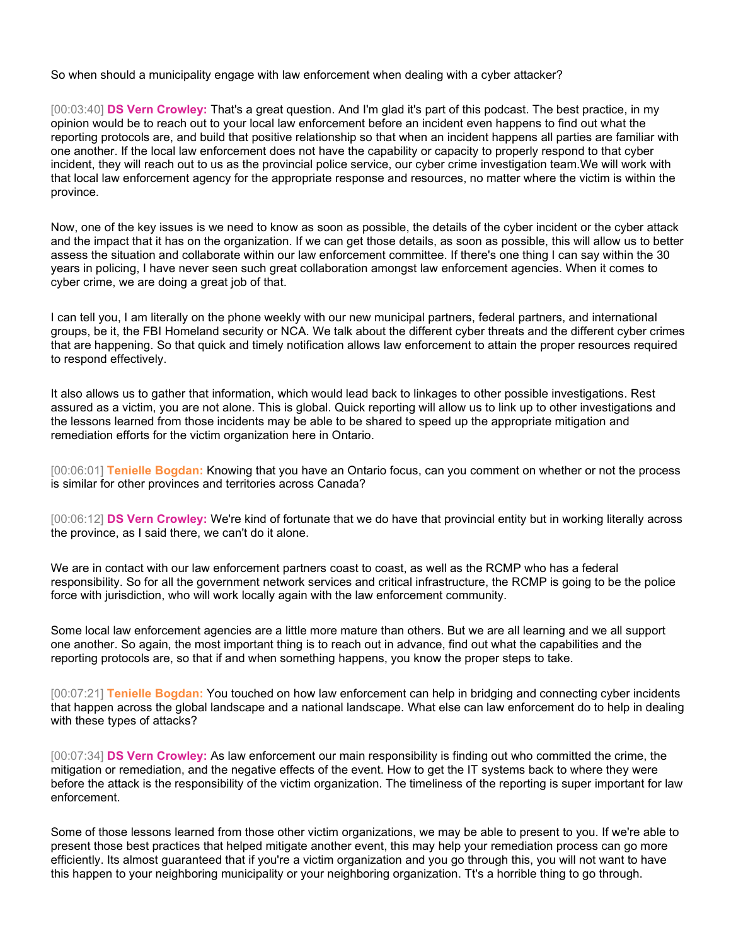So when should a municipality engage with law enforcement when dealing with a cyber attacker?

[00:03:40] **DS Vern Crowley:** That's a great question. And I'm glad it's part of this podcast. The best practice, in my opinion would be to reach out to your local law enforcement before an incident even happens to find out what the reporting protocols are, and build that positive relationship so that when an incident happens all parties are familiar with one another. If the local law enforcement does not have the capability or capacity to properly respond to that cyber incident, they will reach out to us as the provincial police service, our cyber crime investigation team.We will work with that local law enforcement agency for the appropriate response and resources, no matter where the victim is within the province.

Now, one of the key issues is we need to know as soon as possible, the details of the cyber incident or the cyber attack and the impact that it has on the organization. If we can get those details, as soon as possible, this will allow us to better assess the situation and collaborate within our law enforcement committee. If there's one thing I can say within the 30 years in policing, I have never seen such great collaboration amongst law enforcement agencies. When it comes to cyber crime, we are doing a great job of that.

I can tell you, I am literally on the phone weekly with our new municipal partners, federal partners, and international groups, be it, the FBI Homeland security or NCA. We talk about the different cyber threats and the different cyber crimes that are happening. So that quick and timely notification allows law enforcement to attain the proper resources required to respond effectively.

It also allows us to gather that information, which would lead back to linkages to other possible investigations. Rest assured as a victim, you are not alone. This is global. Quick reporting will allow us to link up to other investigations and the lessons learned from those incidents may be able to be shared to speed up the appropriate mitigation and remediation efforts for the victim organization here in Ontario.

[00:06:01] **Tenielle Bogdan:** Knowing that you have an Ontario focus, can you comment on whether or not the process is similar for other provinces and territories across Canada?

[00:06:12] **DS Vern Crowley:** We're kind of fortunate that we do have that provincial entity but in working literally across the province, as I said there, we can't do it alone.

We are in contact with our law enforcement partners coast to coast, as well as the RCMP who has a federal responsibility. So for all the government network services and critical infrastructure, the RCMP is going to be the police force with jurisdiction, who will work locally again with the law enforcement community.

Some local law enforcement agencies are a little more mature than others. But we are all learning and we all support one another. So again, the most important thing is to reach out in advance, find out what the capabilities and the reporting protocols are, so that if and when something happens, you know the proper steps to take.

[00:07:21] **Tenielle Bogdan:** You touched on how law enforcement can help in bridging and connecting cyber incidents that happen across the global landscape and a national landscape. What else can law enforcement do to help in dealing with these types of attacks?

[00:07:34] **DS Vern Crowley:** As law enforcement our main responsibility is finding out who committed the crime, the mitigation or remediation, and the negative effects of the event. How to get the IT systems back to where they were before the attack is the responsibility of the victim organization. The timeliness of the reporting is super important for law enforcement.

Some of those lessons learned from those other victim organizations, we may be able to present to you. If we're able to present those best practices that helped mitigate another event, this may help your remediation process can go more efficiently. Its almost guaranteed that if you're a victim organization and you go through this, you will not want to have this happen to your neighboring municipality or your neighboring organization. Tt's a horrible thing to go through.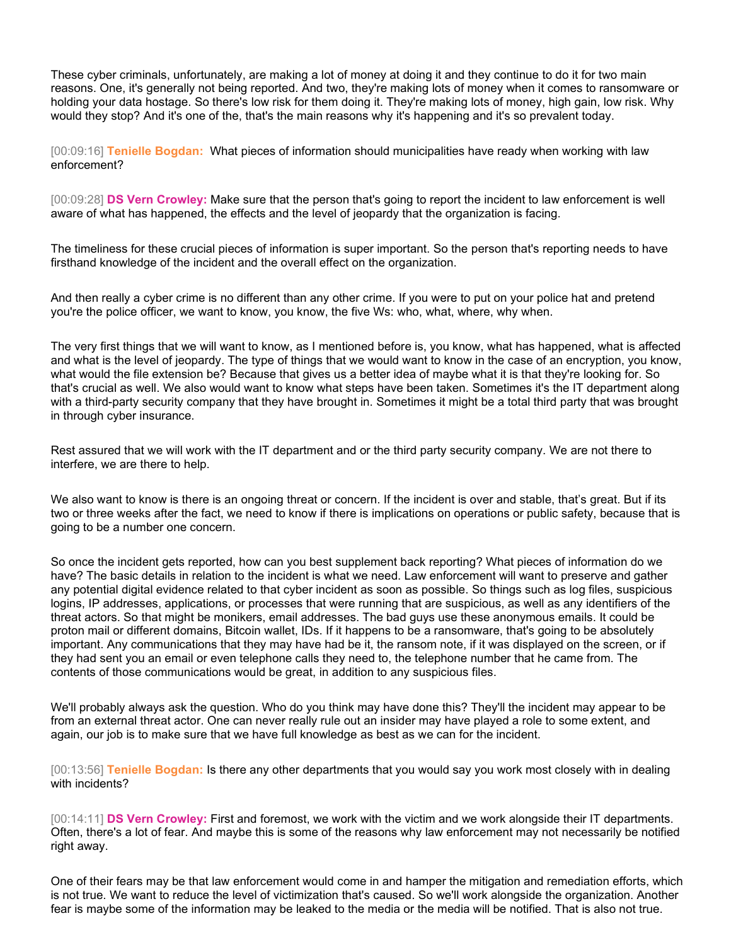These cyber criminals, unfortunately, are making a lot of money at doing it and they continue to do it for two main reasons. One, it's generally not being reported. And two, they're making lots of money when it comes to ransomware or holding your data hostage. So there's low risk for them doing it. They're making lots of money, high gain, low risk. Why would they stop? And it's one of the, that's the main reasons why it's happening and it's so prevalent today.

[00:09:16] **Tenielle Bogdan:** What pieces of information should municipalities have ready when working with law enforcement?

[00:09:28] **DS Vern Crowley:** Make sure that the person that's going to report the incident to law enforcement is well aware of what has happened, the effects and the level of jeopardy that the organization is facing.

The timeliness for these crucial pieces of information is super important. So the person that's reporting needs to have firsthand knowledge of the incident and the overall effect on the organization.

And then really a cyber crime is no different than any other crime. If you were to put on your police hat and pretend you're the police officer, we want to know, you know, the five Ws: who, what, where, why when.

The very first things that we will want to know, as I mentioned before is, you know, what has happened, what is affected and what is the level of jeopardy. The type of things that we would want to know in the case of an encryption, you know, what would the file extension be? Because that gives us a better idea of maybe what it is that they're looking for. So that's crucial as well. We also would want to know what steps have been taken. Sometimes it's the IT department along with a third-party security company that they have brought in. Sometimes it might be a total third party that was brought in through cyber insurance.

Rest assured that we will work with the IT department and or the third party security company. We are not there to interfere, we are there to help.

We also want to know is there is an ongoing threat or concern. If the incident is over and stable, that's great. But if its two or three weeks after the fact, we need to know if there is implications on operations or public safety, because that is going to be a number one concern.

So once the incident gets reported, how can you best supplement back reporting? What pieces of information do we have? The basic details in relation to the incident is what we need. Law enforcement will want to preserve and gather any potential digital evidence related to that cyber incident as soon as possible. So things such as log files, suspicious logins, IP addresses, applications, or processes that were running that are suspicious, as well as any identifiers of the threat actors. So that might be monikers, email addresses. The bad guys use these anonymous emails. It could be proton mail or different domains, Bitcoin wallet, IDs. If it happens to be a ransomware, that's going to be absolutely important. Any communications that they may have had be it, the ransom note, if it was displayed on the screen, or if they had sent you an email or even telephone calls they need to, the telephone number that he came from. The contents of those communications would be great, in addition to any suspicious files.

We'll probably always ask the question. Who do you think may have done this? They'll the incident may appear to be from an external threat actor. One can never really rule out an insider may have played a role to some extent, and again, our job is to make sure that we have full knowledge as best as we can for the incident.

[00:13:56] **Tenielle Bogdan:** Is there any other departments that you would say you work most closely with in dealing with incidents?

[00:14:11] **DS Vern Crowley:** First and foremost, we work with the victim and we work alongside their IT departments. Often, there's a lot of fear. And maybe this is some of the reasons why law enforcement may not necessarily be notified right away.

One of their fears may be that law enforcement would come in and hamper the mitigation and remediation efforts, which is not true. We want to reduce the level of victimization that's caused. So we'll work alongside the organization. Another fear is maybe some of the information may be leaked to the media or the media will be notified. That is also not true.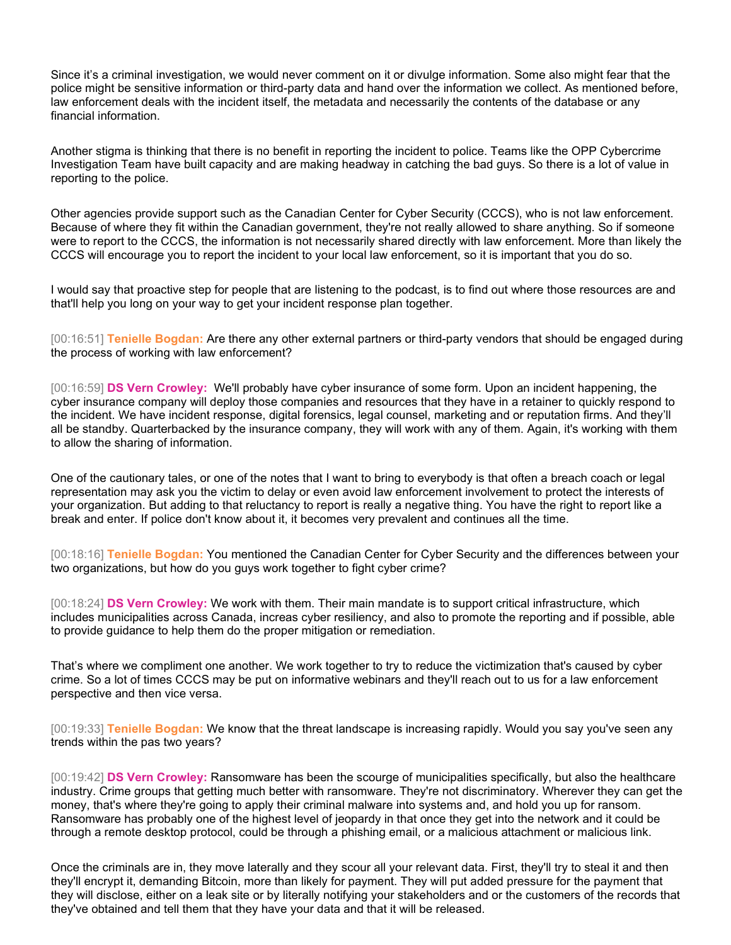Since it's a criminal investigation, we would never comment on it or divulge information. Some also might fear that the police might be sensitive information or third-party data and hand over the information we collect. As mentioned before, law enforcement deals with the incident itself, the metadata and necessarily the contents of the database or any financial information.

Another stigma is thinking that there is no benefit in reporting the incident to police. Teams like the OPP Cybercrime Investigation Team have built capacity and are making headway in catching the bad guys. So there is a lot of value in reporting to the police.

Other agencies provide support such as the Canadian Center for Cyber Security (CCCS), who is not law enforcement. Because of where they fit within the Canadian government, they're not really allowed to share anything. So if someone were to report to the CCCS, the information is not necessarily shared directly with law enforcement. More than likely the CCCS will encourage you to report the incident to your local law enforcement, so it is important that you do so.

I would say that proactive step for people that are listening to the podcast, is to find out where those resources are and that'll help you long on your way to get your incident response plan together.

[00:16:51] **Tenielle Bogdan:** Are there any other external partners or third-party vendors that should be engaged during the process of working with law enforcement?

[00:16:59] **DS Vern Crowley:** We'll probably have cyber insurance of some form. Upon an incident happening, the cyber insurance company will deploy those companies and resources that they have in a retainer to quickly respond to the incident. We have incident response, digital forensics, legal counsel, marketing and or reputation firms. And they'll all be standby. Quarterbacked by the insurance company, they will work with any of them. Again, it's working with them to allow the sharing of information.

One of the cautionary tales, or one of the notes that I want to bring to everybody is that often a breach coach or legal representation may ask you the victim to delay or even avoid law enforcement involvement to protect the interests of your organization. But adding to that reluctancy to report is really a negative thing. You have the right to report like a break and enter. If police don't know about it, it becomes very prevalent and continues all the time.

[00:18:16] **Tenielle Bogdan:** You mentioned the Canadian Center for Cyber Security and the differences between your two organizations, but how do you guys work together to fight cyber crime?

[00:18:24] **DS Vern Crowley:** We work with them. Their main mandate is to support critical infrastructure, which includes municipalities across Canada, increas cyber resiliency, and also to promote the reporting and if possible, able to provide guidance to help them do the proper mitigation or remediation.

That's where we compliment one another. We work together to try to reduce the victimization that's caused by cyber crime. So a lot of times CCCS may be put on informative webinars and they'll reach out to us for a law enforcement perspective and then vice versa.

[00:19:33] **Tenielle Bogdan:** We know that the threat landscape is increasing rapidly. Would you say you've seen any trends within the pas two years?

[00:19:42] **DS Vern Crowley:** Ransomware has been the scourge of municipalities specifically, but also the healthcare industry. Crime groups that getting much better with ransomware. They're not discriminatory. Wherever they can get the money, that's where they're going to apply their criminal malware into systems and, and hold you up for ransom. Ransomware has probably one of the highest level of jeopardy in that once they get into the network and it could be through a remote desktop protocol, could be through a phishing email, or a malicious attachment or malicious link.

Once the criminals are in, they move laterally and they scour all your relevant data. First, they'll try to steal it and then they'll encrypt it, demanding Bitcoin, more than likely for payment. They will put added pressure for the payment that they will disclose, either on a leak site or by literally notifying your stakeholders and or the customers of the records that they've obtained and tell them that they have your data and that it will be released.